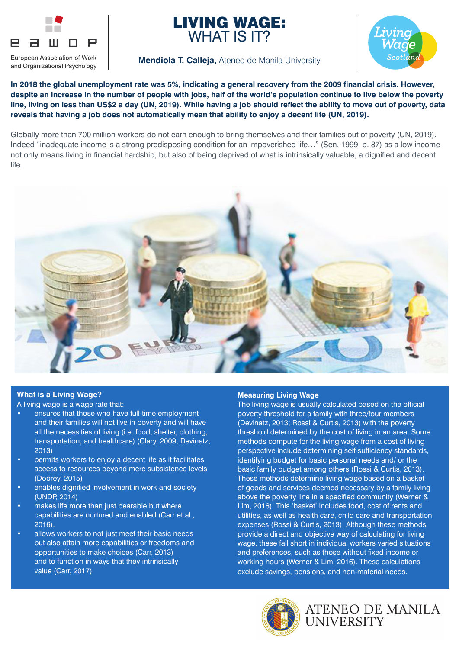





#### **Mendiola T. Calleja,** Ateneo de Manila University

**In 2018 the global unemployment rate was 5%, indicating a general recovery from the 2009 financial crisis. However, despite an increase in the number of people with jobs, half of the world's population continue to live below the poverty line, living on less than US\$2 a day (UN, 2019). While having a job should reflect the ability to move out of poverty, data reveals that having a job does not automatically mean that ability to enjoy a decent life (UN, 2019).** 

Globally more than 700 million workers do not earn enough to bring themselves and their families out of poverty (UN, 2019). Indeed "inadequate income is a strong predisposing condition for an impoverished life…" (Sen, 1999, p. 87) as a low income not only means living in financial hardship, but also of being deprived of what is intrinsically valuable, a dignified and decent life.



#### **What is a Living Wage?**

A living wage is a wage rate that:

- ensures that those who have full-time employment and their families will not live in poverty and will have all the necessities of living (i.e. food, shelter, clothing, transportation, and healthcare) (Clary, 2009; Devinatz, 2013)
- permits workers to enjoy a decent life as it facilitates access to resources beyond mere subsistence levels (Doorey, 2015)
- enables dignified involvement in work and society (UNDP, 2014)
- makes life more than just bearable but where capabilities are nurtured and enabled (Carr et al., 2016).
- allows workers to not just meet their basic needs but also attain more capabilities or freedoms and opportunities to make choices (Carr, 2013) and to function in ways that they intrinsically value (Carr, 2017).

#### **Measuring Living Wage**

The living wage is usually calculated based on the official poverty threshold for a family with three/four members (Devinatz, 2013; Rossi & Curtis, 2013) with the poverty threshold determined by the cost of living in an area. Some methods compute for the living wage from a cost of living perspective include determining self-sufficiency standards, identifying budget for basic personal needs and/ or the basic family budget among others (Rossi & Curtis, 2013). These methods determine living wage based on a basket of goods and services deemed necessary by a family living above the poverty line in a specified community (Werner & Lim, 2016). This 'basket' includes food, cost of rents and utilities, as well as health care, child care and transportation expenses (Rossi & Curtis, 2013). Although these methods provide a direct and objective way of calculating for living wage, these fall short in individual workers varied situations and preferences, such as those without fixed income or working hours (Werner & Lim, 2016). These calculations exclude savings, pensions, and non-material needs.